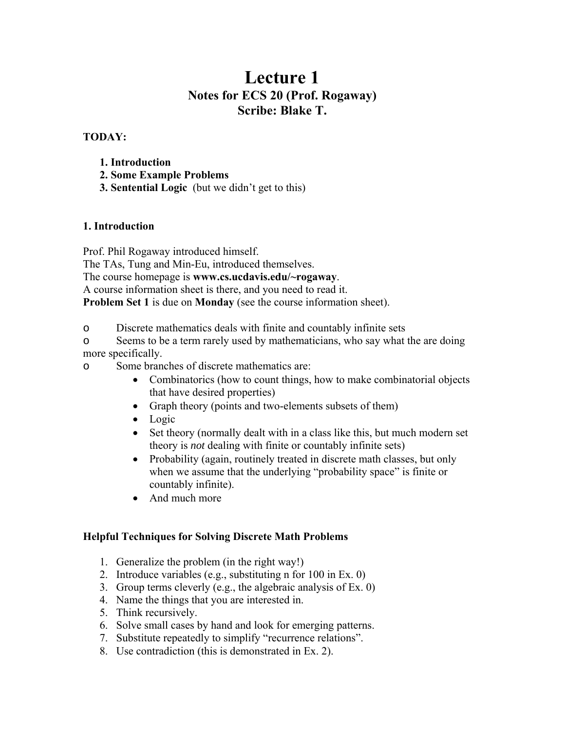# **Lecture 1 Notes for ECS 20 (Prof. Rogaway) Scribe: Blake T.**

# **TODAY:**

- **1. Introduction**
- **2. Some Example Problems**
- **3. Sentential Logic** (but we didn't get to this)

# **1. Introduction**

Prof. Phil Rogaway introduced himself. The TAs, Tung and Min-Eu, introduced themselves. The course homepage is **www.cs.ucdavis.edu/~rogaway**. A course information sheet is there, and you need to read it. **Problem Set 1** is due on **Monday** (see the course information sheet).

o Discrete mathematics deals with finite and countably infinite sets

o Seems to be a term rarely used by mathematicians, who say what the are doing more specifically.

o Some branches of discrete mathematics are:

- Combinatorics (how to count things, how to make combinatorial objects that have desired properties)
- Graph theory (points and two-elements subsets of them)
- Logic
- Set theory (normally dealt with in a class like this, but much modern set theory is *not* dealing with finite or countably infinite sets)
- Probability (again, routinely treated in discrete math classes, but only when we assume that the underlying "probability space" is finite or countably infinite).
- And much more

# **Helpful Techniques for Solving Discrete Math Problems**

- 1. Generalize the problem (in the right way!)
- 2. Introduce variables (e.g., substituting n for 100 in Ex. 0)
- 3. Group terms cleverly (e.g., the algebraic analysis of Ex. 0)
- 4. Name the things that you are interested in.
- 5. Think recursively.
- 6. Solve small cases by hand and look for emerging patterns.
- 7. Substitute repeatedly to simplify "recurrence relations".
- 8. Use contradiction (this is demonstrated in Ex. 2).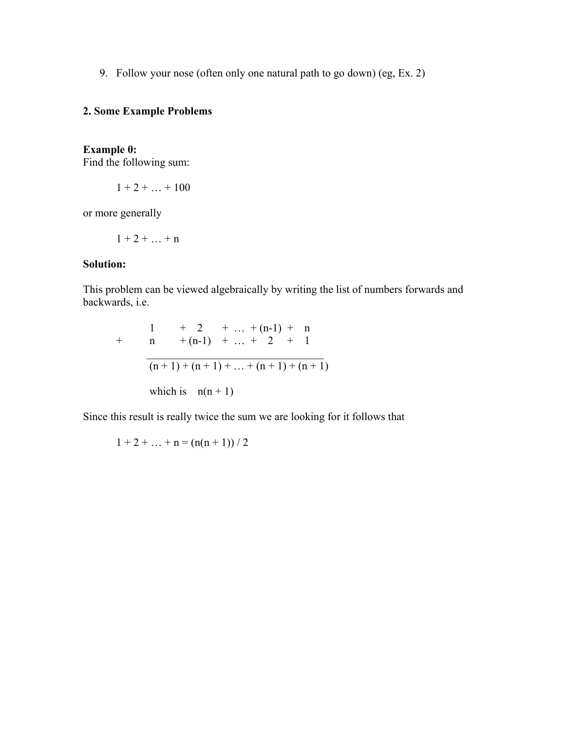9. Follow your nose (often only one natural path to go down) (eg, Ex. 2)

# **2. Some Example Problems**

# **Example 0:**

Find the following sum:

$$
1+2+\ldots+100
$$

or more generally

$$
1+2+\ldots+n
$$

#### **Solution:**

This problem can be viewed algebraically by writing the list of numbers forwards and backwards, i.e.

+ 
$$
\frac{1}{n}
$$
 +  $\frac{2}{n+1}$  + ... +  $\frac{n-1}{2}$  +  $\frac{n}{1}$   
\n $\frac{n+1}{n+1}$  + ... +  $\frac{n+1}{n+1}$  +  $\frac{n+1}{n+1}$   
\nwhich is  $n(n+1)$ 

Since this result is really twice the sum we are looking for it follows that

 $1 + 2 + ... + n = (n(n + 1)) / 2$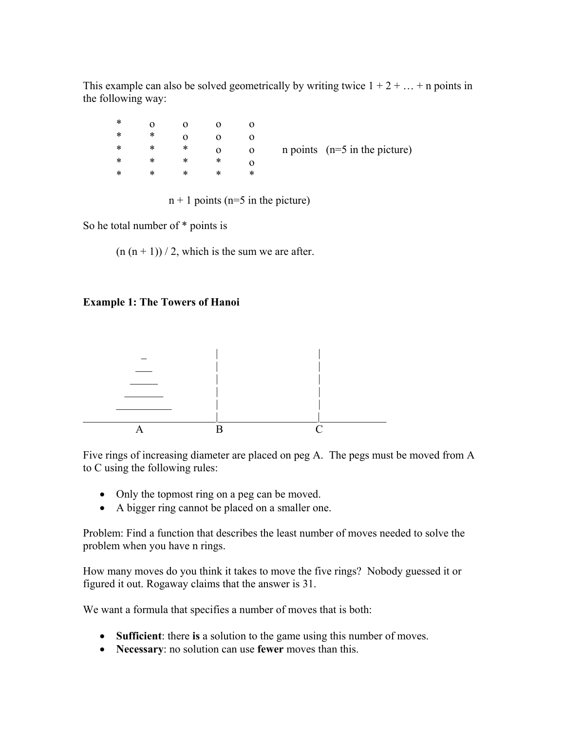This example can also be solved geometrically by writing twice  $1 + 2 + \ldots + n$  points in the following way:

| ∗ | 0 | $\Omega$ |          |              |                                 |
|---|---|----------|----------|--------------|---------------------------------|
| ∗ | * |          |          |              |                                 |
| ∗ | ∗ | *        | $\Omega$ | $\mathbf{O}$ | n points $(n=5$ in the picture) |
| ∗ | ∗ | ∗        | *        |              |                                 |
| ∗ | ∗ | ∗        | ∗        | ∗            |                                 |

 $n + 1$  points ( $n = 5$  in the picture)

So he total number of \* points is

 $(n (n + 1)) / 2$ , which is the sum we are after.

# **Example 1: The Towers of Hanoi**



Five rings of increasing diameter are placed on peg A. The pegs must be moved from A to C using the following rules:

- Only the topmost ring on a peg can be moved.
- A bigger ring cannot be placed on a smaller one.

Problem: Find a function that describes the least number of moves needed to solve the problem when you have n rings.

How many moves do you think it takes to move the five rings? Nobody guessed it or figured it out. Rogaway claims that the answer is 31.

We want a formula that specifies a number of moves that is both:

- **Sufficient**: there **is** a solution to the game using this number of moves.
- **Necessary**: no solution can use **fewer** moves than this.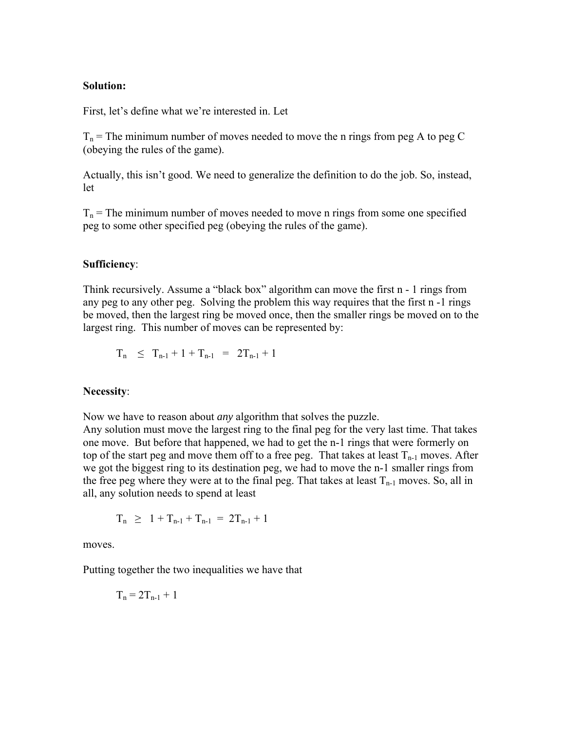#### **Solution:**

First, let's define what we're interested in. Let

 $T_n$  = The minimum number of moves needed to move the n rings from peg A to peg C (obeying the rules of the game).

Actually, this isn't good. We need to generalize the definition to do the job. So, instead, let

 $T_n$  = The minimum number of moves needed to move n rings from some one specified peg to some other specified peg (obeying the rules of the game).

#### **Sufficiency**:

Think recursively. Assume a "black box" algorithm can move the first n - 1 rings from any peg to any other peg. Solving the problem this way requires that the first n -1 rings be moved, then the largest ring be moved once, then the smaller rings be moved on to the largest ring. This number of moves can be represented by:

$$
T_n \leq T_{n-1} + 1 + T_{n-1} = 2T_{n-1} + 1
$$

## **Necessity**:

Now we have to reason about *any* algorithm that solves the puzzle.

Any solution must move the largest ring to the final peg for the very last time. That takes one move. But before that happened, we had to get the n-1 rings that were formerly on top of the start peg and move them off to a free peg. That takes at least  $T_{n-1}$  moves. After we got the biggest ring to its destination peg, we had to move the n-1 smaller rings from the free peg where they were at to the final peg. That takes at least  $T_{n-1}$  moves. So, all in all, any solution needs to spend at least

$$
T_n \geq 1 + T_{n-1} + T_{n-1} = 2T_{n-1} + 1
$$

moves.

Putting together the two inequalities we have that

$$
T_n = 2T_{n-1} + 1
$$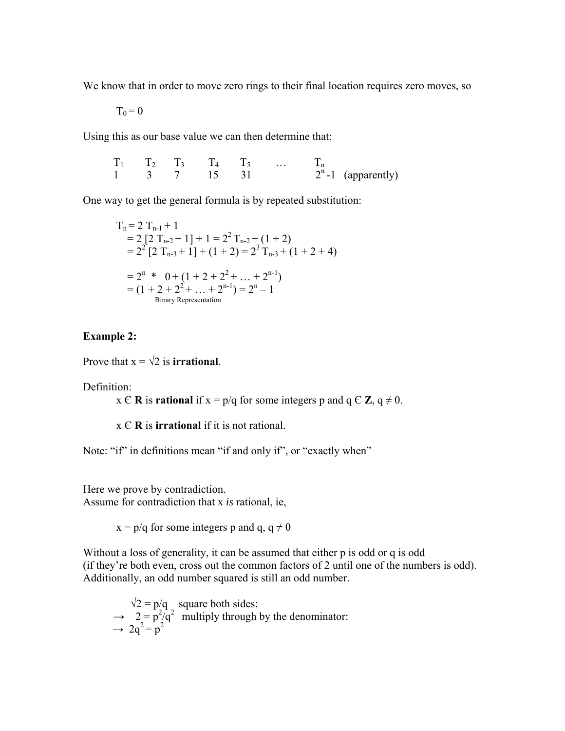We know that in order to move zero rings to their final location requires zero moves, so

 $T_0 = 0$ 

Using this as our base value we can then determine that:

 $T_1$   $T_2$   $T_3$   $T_4$   $T_5$  …  $T_n$ 1 3 7 15 31  $2^{n}$ -1 (apparently)

One way to get the general formula is by repeated substitution:

$$
T_n = 2 T_{n-1} + 1
$$
  
= 2 [2 T\_{n-2} + 1] + 1 = 2<sup>2</sup> T\_{n-2} + (1 + 2)  
= 2<sup>2</sup> [2 T\_{n-3} + 1] + (1 + 2) = 2<sup>3</sup> T\_{n-3} + (1 + 2 + 4)  
= 2<sup>n</sup> \* 0 + (1 + 2 + 2<sup>2</sup> + ... + 2<sup>n-1</sup>)  
= (1 + 2 + 2<sup>2</sup> + ... + 2<sup>n-1</sup>) = 2<sup>n</sup> - 1  
Binary Representation

## **Example 2:**

Prove that  $x = \sqrt{2}$  is **irrational**.

Definition:

 $x \in \mathbb{R}$  is **rational** if  $x = p/q$  for some integers p and  $q \in \mathbb{Z}$ ,  $q \neq 0$ .

x Є **R** is **irrational** if it is not rational.

Note: "if" in definitions mean "if and only if", or "exactly when"

Here we prove by contradiction. Assume for contradiction that x *is* rational, ie,

 $x = p/q$  for some integers p and q,  $q \neq 0$ 

Without a loss of generality, it can be assumed that either p is odd or q is odd (if they're both even, cross out the common factors of 2 until one of the numbers is odd). Additionally, an odd number squared is still an odd number.

 $\sqrt{2} = p/q$  square both sides:  $\rightarrow$  2 =  $p^2/q^2$  multiply through by the denominator:  $\rightarrow 2q^2 = p^2$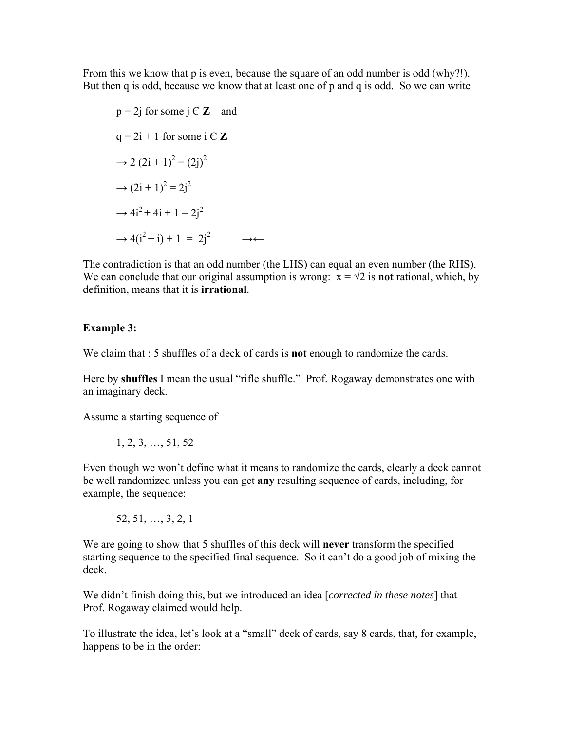From this we know that p is even, because the square of an odd number is odd (why?!). But then q is odd, because we know that at least one of p and q is odd. So we can write

 $p = 2j$  for some  $j \in \mathbb{Z}$  and  $q = 2i + 1$  for some  $i \in \mathbb{Z}$  $\rightarrow$  2 (2i + 1)<sup>2</sup> = (2j)<sup>2</sup>  $\rightarrow$   $(2i + 1)^2 = 2j^2$  $\rightarrow 4i^2 + 4i + 1 = 2i^2$  $\rightarrow$  4(i<sup>2</sup> + i) + 1 = 2i<sup>2</sup>  $\rightarrow \leftarrow$ 

The contradiction is that an odd number (the LHS) can equal an even number (the RHS). We can conclude that our original assumption is wrong:  $x = \sqrt{2}$  is **not** rational, which, by definition, means that it is **irrational**.

## **Example 3:**

We claim that : 5 shuffles of a deck of cards is **not** enough to randomize the cards.

Here by **shuffles** I mean the usual "rifle shuffle." Prof. Rogaway demonstrates one with an imaginary deck.

Assume a starting sequence of

$$
1, 2, 3, \ldots, 51, 52
$$

Even though we won't define what it means to randomize the cards, clearly a deck cannot be well randomized unless you can get **any** resulting sequence of cards, including, for example, the sequence:

52, 51, …, 3, 2, 1

We are going to show that 5 shuffles of this deck will **never** transform the specified starting sequence to the specified final sequence. So it can't do a good job of mixing the deck.

We didn't finish doing this, but we introduced an idea [*corrected in these notes*] that Prof. Rogaway claimed would help.

To illustrate the idea, let's look at a "small" deck of cards, say 8 cards, that, for example, happens to be in the order: